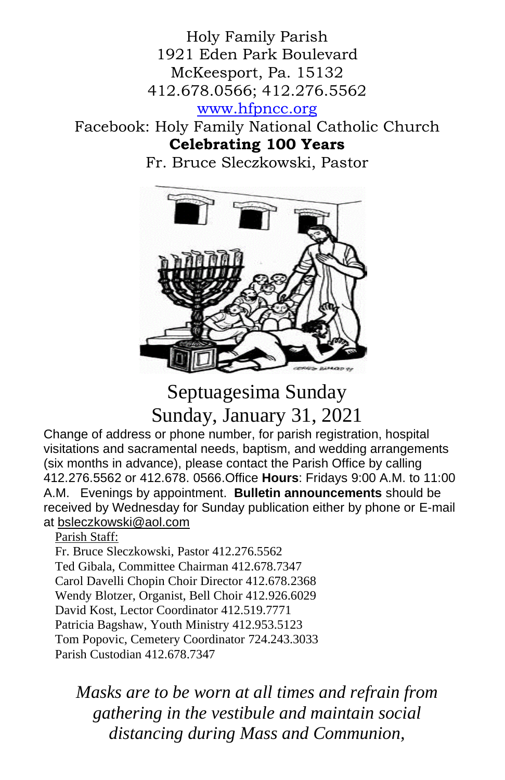Holy Family Parish 1921 Eden Park Boulevard McKeesport, Pa. 15132 412.678.0566; 412.276.5562

[www.hfpncc.org](http://www.hfpncc.org/)

## Facebook: Holy Family National Catholic Church **Celebrating 100 Years**

Fr. Bruce Sleczkowski, Pastor



# Septuagesima Sunday Sunday, January 31, 2021

Change of address or phone number, for parish registration, hospital visitations and sacramental needs, baptism, and wedding arrangements (six months in advance), please contact the Parish Office by calling 412.276.5562 or 412.678. 0566.Office **Hours**: Fridays 9:00 A.M. to 11:00 A.M. Evenings by appointment. **Bulletin announcements** should be received by Wednesday for Sunday publication either by phone or E-mail at [bsleczkowski@aol.com](mailto:bsleczkowski@aol.com)

Parish Staff:

Fr. Bruce Sleczkowski, Pastor 412.276.5562 Ted Gibala, Committee Chairman 412.678.7347 Carol Davelli Chopin Choir Director 412.678.2368 Wendy Blotzer, Organist, Bell Choir 412.926.6029 David Kost, Lector Coordinator 412.519.7771 Patricia Bagshaw, Youth Ministry 412.953.5123 Tom Popovic, Cemetery Coordinator 724.243.3033 Parish Custodian 412.678.7347

*Masks are to be worn at all times and refrain from gathering in the vestibule and maintain social distancing during Mass and Communion,*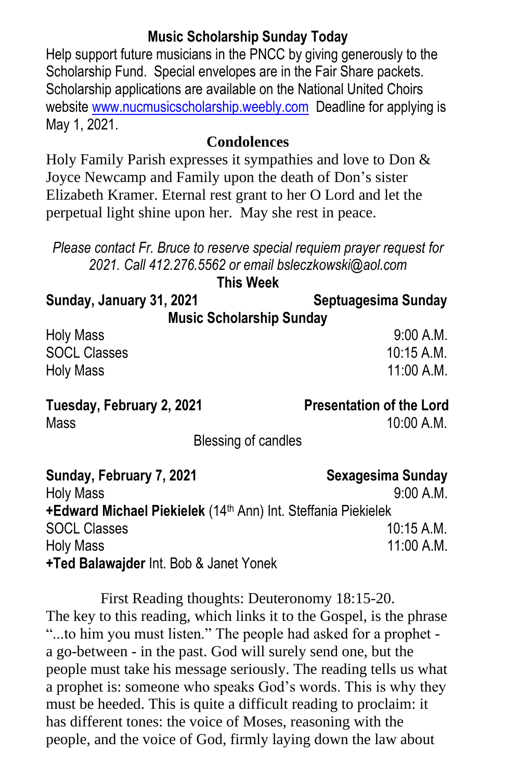### **Music Scholarship Sunday Today**

Help support future musicians in the PNCC by giving generously to the Scholarship Fund. Special envelopes are in the Fair Share packets. Scholarship applications are available on the National United Choirs website [www.nucmusicscholarship.weebly.com](http://www.nucmusicscholarship.weebly.com/) Deadline for applying is May 1, 2021.

#### **Condolences**

Holy Family Parish expresses it sympathies and love to Don & Joyce Newcamp and Family upon the death of Don's sister Elizabeth Kramer. Eternal rest grant to her O Lord and let the perpetual light shine upon her. May she rest in peace.

*Please contact Fr. Bruce to reserve special requiem prayer request for 2021. Call 412.276.5562 or email bsleczkowski@aol.com*

**Sunday, January 31, 2021 Septuagesima Sunday Music Scholarship Sunday** Holy Mass 9:00 A.M.

SOCL Classes 10:15 A.M. Holy Mass 11:00 A.M.

#### **Tuesday, February 2, 2021 Presentation of the Lord**

 $Mass$  10:00 A M

Blessing of candles

| Sunday, February 7, 2021                                                         | Sexagesima Sunday |
|----------------------------------------------------------------------------------|-------------------|
| <b>Holy Mass</b>                                                                 | 9:00 A.M.         |
| <b>+Edward Michael Piekielek</b> (14 <sup>th</sup> Ann) Int. Steffania Piekielek |                   |
| <b>SOCL Classes</b>                                                              | $10:15$ A.M.      |
| <b>Holy Mass</b>                                                                 | 11:00 A.M.        |
| +Ted Balawajder Int. Bob & Janet Yonek                                           |                   |

First Reading thoughts: Deuteronomy 18:15-20. The key to this reading, which links it to the Gospel, is the phrase "...to him you must listen." The people had asked for a prophet a go-between - in the past. God will surely send one, but the people must take his message seriously. The reading tells us what a prophet is: someone who speaks God's words. This is why they must be heeded. This is quite a difficult reading to proclaim: it has different tones: the voice of Moses, reasoning with the people, and the voice of God, firmly laying down the law about

**This Week**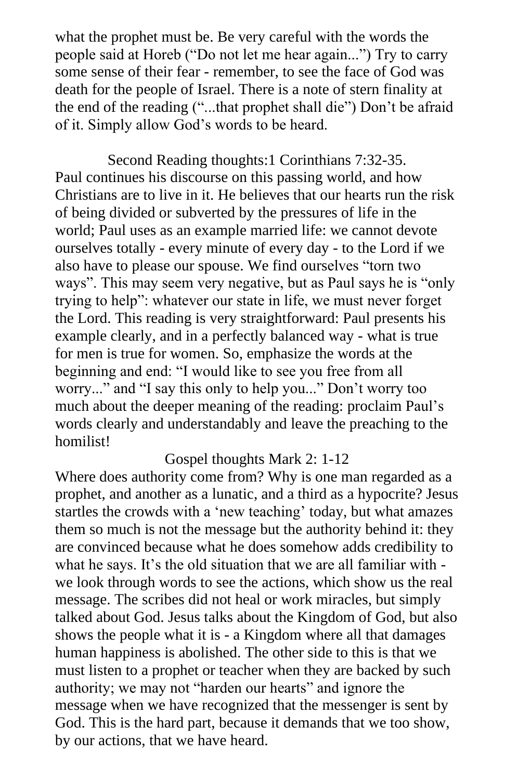what the prophet must be. Be very careful with the words the people said at Horeb ("Do not let me hear again...") Try to carry some sense of their fear - remember, to see the face of God was death for the people of Israel. There is a note of stern finality at the end of the reading ("...that prophet shall die") Don't be afraid of it. Simply allow God's words to be heard.

Second Reading thoughts:1 Corinthians 7:32-35. Paul continues his discourse on this passing world, and how Christians are to live in it. He believes that our hearts run the risk of being divided or subverted by the pressures of life in the world; Paul uses as an example married life: we cannot devote ourselves totally - every minute of every day - to the Lord if we also have to please our spouse. We find ourselves "torn two ways". This may seem very negative, but as Paul says he is "only trying to help": whatever our state in life, we must never forget the Lord. This reading is very straightforward: Paul presents his example clearly, and in a perfectly balanced way - what is true for men is true for women. So, emphasize the words at the beginning and end: "I would like to see you free from all worry..." and "I say this only to help you..." Don't worry too much about the deeper meaning of the reading: proclaim Paul's words clearly and understandably and leave the preaching to the homilist!

#### Gospel thoughts Mark 2: 1-12

Where does authority come from? Why is one man regarded as a prophet, and another as a lunatic, and a third as a hypocrite? Jesus startles the crowds with a 'new teaching' today, but what amazes them so much is not the message but the authority behind it: they are convinced because what he does somehow adds credibility to what he says. It's the old situation that we are all familiar with we look through words to see the actions, which show us the real message. The scribes did not heal or work miracles, but simply talked about God. Jesus talks about the Kingdom of God, but also shows the people what it is - a Kingdom where all that damages human happiness is abolished. The other side to this is that we must listen to a prophet or teacher when they are backed by such authority; we may not "harden our hearts" and ignore the message when we have recognized that the messenger is sent by God. This is the hard part, because it demands that we too show, by our actions, that we have heard.